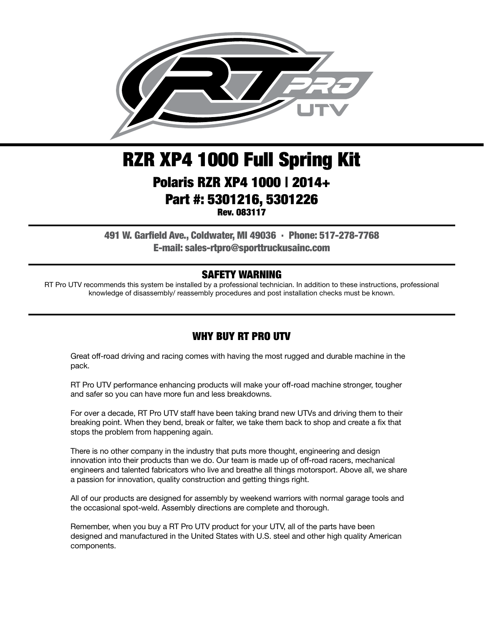

# RZR XP4 1000 Full Spring Kit Polaris RZR XP4 1000 | 2014+ Part #: 5301216, 5301226 Rev. 083117

491 W. Garfield Ave., Coldwater, MI 49036 . Phone: 517-278-7768 E-mail: sales-rtpro@sporttruckusainc.com

#### SAFETY WARNING

RT Pro UTV recommends this system be installed by a professional technician. In addition to these instructions, professional knowledge of disassembly/ reassembly procedures and post installation checks must be known.

#### WHY BUY RT PRO UTV

Great off-road driving and racing comes with having the most rugged and durable machine in the pack.

RT Pro UTV performance enhancing products will make your off-road machine stronger, tougher and safer so you can have more fun and less breakdowns.

For over a decade, RT Pro UTV staff have been taking brand new UTVs and driving them to their breaking point. When they bend, break or falter, we take them back to shop and create a fix that stops the problem from happening again.

There is no other company in the industry that puts more thought, engineering and design innovation into their products than we do. Our team is made up of off-road racers, mechanical engineers and talented fabricators who live and breathe all things motorsport. Above all, we share a passion for innovation, quality construction and getting things right.

All of our products are designed for assembly by weekend warriors with normal garage tools and the occasional spot-weld. Assembly directions are complete and thorough.

Remember, when you buy a RT Pro UTV product for your UTV, all of the parts have been designed and manufactured in the United States with U.S. steel and other high quality American components.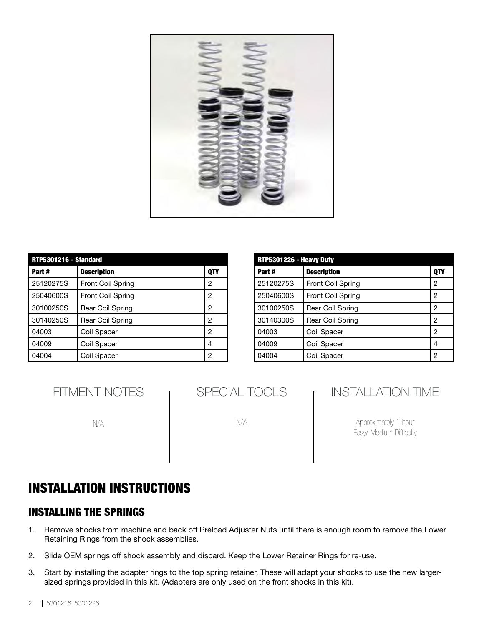

| <b>RTP5301216 - Standard</b> |                          |     |  |
|------------------------------|--------------------------|-----|--|
| Part#                        | <b>Description</b>       | QTY |  |
| 25120275S                    | Front Coil Spring        | 2   |  |
| 25040600S                    | <b>Front Coil Spring</b> | 2   |  |
| 30100250S                    | Rear Coil Spring         | 2   |  |
| 30140250S                    | Rear Coil Spring         | 2   |  |
| 04003                        | Coil Spacer              | 2   |  |
| 04009                        | Coil Spacer              | 4   |  |
| 04004                        | Coil Spacer              | 2   |  |

| RTP5301226 - Heavy Duty |                         |     |  |
|-------------------------|-------------------------|-----|--|
| Part#                   | <b>Description</b>      | QTY |  |
| 25120275S               | Front Coil Spring       | 2   |  |
| 25040600S               | Front Coil Spring       | 2   |  |
| 30100250S               | Rear Coil Spring        | 2   |  |
| 30140300S               | <b>Rear Coil Spring</b> | 2   |  |
| 04003                   | Coil Spacer             | 2   |  |
| 04009                   | Coil Spacer             | 4   |  |
| 04004                   | Coil Spacer             | 2   |  |

| <b>FITMENT NOTES</b> |  |
|----------------------|--|
|----------------------|--|

N/A

| SPECIAL TOOLS |  |
|---------------|--|
|---------------|--|

N/A

### INSTALLATION TIME

Approximately 1 hour Easy/ Medium Difficulty

## INSTALLATION INSTRUCTIONS

#### INSTALLING THE SPRINGS

- 1. Remove shocks from machine and back off Preload Adjuster Nuts until there is enough room to remove the Lower Retaining Rings from the shock assemblies.
- 2. Slide OEM springs off shock assembly and discard. Keep the Lower Retainer Rings for re-use.
- 3. Start by installing the adapter rings to the top spring retainer. These will adapt your shocks to use the new largersized springs provided in this kit. (Adapters are only used on the front shocks in this kit).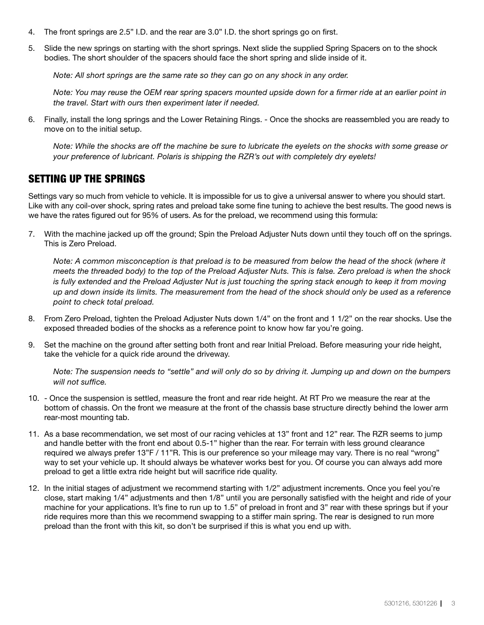- 4. The front springs are 2.5" I.D. and the rear are 3.0" I.D. the short springs go on first.
- 5. Slide the new springs on starting with the short springs. Next slide the supplied Spring Spacers on to the shock bodies. The short shoulder of the spacers should face the short spring and slide inside of it.

*Note: All short springs are the same rate so they can go on any shock in any order.* 

*Note: You may reuse the OEM rear spring spacers mounted upside down for a firmer ride at an earlier point in the travel. Start with ours then experiment later if needed.*

6. Finally, install the long springs and the Lower Retaining Rings. - Once the shocks are reassembled you are ready to move on to the initial setup.

*Note: While the shocks are off the machine be sure to lubricate the eyelets on the shocks with some grease or your preference of lubricant. Polaris is shipping the RZR's out with completely dry eyelets!*

#### SETTING UP THE SPRINGS

Settings vary so much from vehicle to vehicle. It is impossible for us to give a universal answer to where you should start. Like with any coil-over shock, spring rates and preload take some fine tuning to achieve the best results. The good news is we have the rates figured out for 95% of users. As for the preload, we recommend using this formula:

7. With the machine jacked up off the ground; Spin the Preload Adjuster Nuts down until they touch off on the springs. This is Zero Preload.

*Note: A common misconception is that preload is to be measured from below the head of the shock (where it meets the threaded body) to the top of the Preload Adjuster Nuts. This is false. Zero preload is when the shock is fully extended and the Preload Adjuster Nut is just touching the spring stack enough to keep it from moving up and down inside its limits. The measurement from the head of the shock should only be used as a reference point to check total preload.*

- 8. From Zero Preload, tighten the Preload Adjuster Nuts down 1/4" on the front and 1 1/2" on the rear shocks. Use the exposed threaded bodies of the shocks as a reference point to know how far you're going.
- 9. Set the machine on the ground after setting both front and rear Initial Preload. Before measuring your ride height, take the vehicle for a quick ride around the driveway.

*Note: The suspension needs to "settle" and will only do so by driving it. Jumping up and down on the bumpers will not suffice.*

- 10. Once the suspension is settled, measure the front and rear ride height. At RT Pro we measure the rear at the bottom of chassis. On the front we measure at the front of the chassis base structure directly behind the lower arm rear-most mounting tab.
- 11. As a base recommendation, we set most of our racing vehicles at 13" front and 12" rear. The RZR seems to jump and handle better with the front end about 0.5-1" higher than the rear. For terrain with less ground clearance required we always prefer 13"F / 11"R. This is our preference so your mileage may vary. There is no real "wrong" way to set your vehicle up. It should always be whatever works best for you. Of course you can always add more preload to get a little extra ride height but will sacrifice ride quality.
- 12. In the initial stages of adjustment we recommend starting with 1/2" adjustment increments. Once you feel you're close, start making 1/4" adjustments and then 1/8" until you are personally satisfied with the height and ride of your machine for your applications. It's fine to run up to 1.5" of preload in front and 3" rear with these springs but if your ride requires more than this we recommend swapping to a stiffer main spring. The rear is designed to run more preload than the front with this kit, so don't be surprised if this is what you end up with.